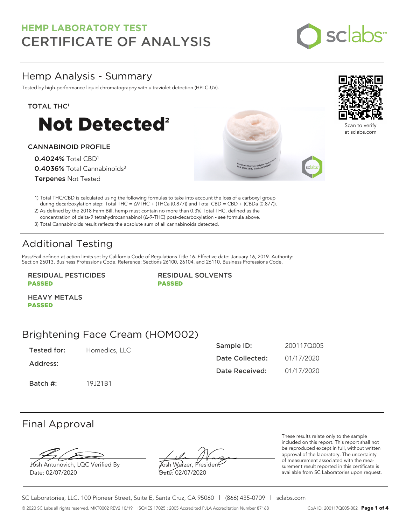

## Hemp Analysis - Summary

Tested by high-performance liquid chromatography with ultraviolet detection (HPLC-UV).

### TOTAL THC<sup>1</sup>



### CANNABINOID PROFILE

0.4024% Total CBD<sup>1</sup> 0.4036% Total Cannabinoids<sup>3</sup> Terpenes Not Tested





Scan to ve at sclabs.com

1) Total THC/CBD is calculated using the following formulas to take into account the loss of a carboxyl group during decarboxylation step: Total THC = ∆9THC + (THCa (0.877)) and Total CBD = CBD + (CBDa (0.877)).

2) As defined by the 2018 Farm Bill, hemp must contain no more than 0.3% Total THC, defined as the concentration of delta-9 tetrahydrocannabinol (Δ-9-THC) post-decarboxylation - see formula above.

3) Total Cannabinoids result reflects the absolute sum of all cannabinoids detected.

# Additional Testing

Pass/Fail defined at action limits set by California Code of Regulations Title 16. Effective date: January 16, 2019. Authority: Section 26013, Business Professions Code. Reference: Sections 26100, 26104, and 26110, Business Professions Code.

RESIDUAL PESTICIDES PASSED

RESIDUAL SOLVENTS PASSED

HEAVY METALS PASSED

### Brightening Face Cream (HOM002)

Tested for: Homedics, LLC

Address:

Batch #: 19J21B1

| Sample ID:      | 2001170005 |  |
|-----------------|------------|--|
| Date Collected: | 01/17/2020 |  |
| Date Received:  | 01/17/2020 |  |

### Final Approval

Josh Antunovich, LQC Verified By Date: 02/07/2020

Josh Wurzer, President Date: 02/07/2020

These results relate only to the sample included on this report. This report shall not be reproduced except in full, without written approval of the laboratory. The uncertainty of measurement associated with the measurement result reported in this certificate is available from SC Laboratories upon request.

SC Laboratories, LLC. 100 Pioneer Street, Suite E, Santa Cruz, CA 95060 | (866) 435-0709 | sclabs.com © 2020 SC Labs all rights reserved. MKT0002 REV2 10/19 ISO/IES 17025 : 2005 Accredited PJLA Accreditation Number 87168 CoA ID: 200117Q005-002 **Page 1 of 4**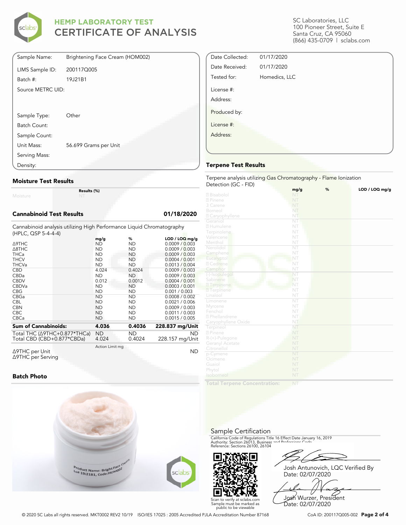

| Sample Name:      | Brightening Face Cream (HOM002) |
|-------------------|---------------------------------|
| LIMS Sample ID:   | 200117Q005                      |
| Batch #:          | 19J21B1                         |
| Source METRC UID: |                                 |
|                   |                                 |
|                   |                                 |
| Sample Type:      | Other                           |
| Batch Count:      |                                 |
| Sample Count:     |                                 |
| Unit Mass:        | 56.699 Grams per Unit           |
| Serving Mass:     |                                 |
| Density:          |                                 |

#### **Moisture Test Results**

Moisture

**Results (%)**

#### **Cannabinoid Test Results 01/18/2020**

Cannabinoid analysis utilizing High Performance Liquid Chromatography (HPLC, QSP 5-4-4-4)

|                                          | mg/g            | %         | $LOD / LOQ$ mg/g |
|------------------------------------------|-----------------|-----------|------------------|
| ∆9THC                                    | ND              | ND        | 0.0009 / 0.003   |
| $\triangle$ 8THC                         | ND              | ΝD        | 0.0009 / 0.003   |
| <b>THCa</b>                              | <b>ND</b>       | ND.       | 0.0009 / 0.003   |
| <b>THCV</b>                              | ND              | ND        | 0.0004 / 0.001   |
| <b>THCVa</b>                             | <b>ND</b>       | ND.       | 0.0013 / 0.004   |
| <b>CBD</b>                               | 4.024           | 0.4024    | 0.0009 / 0.003   |
| <b>CBDa</b>                              | <b>ND</b>       | ΝD        | 0.0009 / 0.003   |
| <b>CBDV</b>                              | 0.012           | 0.0012    | 0.0004 / 0.001   |
| CBDVa                                    | <b>ND</b>       | <b>ND</b> | 0.0003 / 0.001   |
| <b>CBG</b>                               | ND              | ND        | 0.001 / 0.003    |
| CBGa                                     | <b>ND</b>       | ND        | 0.0008 / 0.002   |
| <b>CBL</b>                               | ND              | ND        | 0.0021 / 0.006   |
| <b>CBN</b>                               | <b>ND</b>       | ND        | 0.0009 / 0.003   |
| <b>CBC</b>                               | <b>ND</b>       | ND        | 0.0011 / 0.003   |
| <b>CBCa</b>                              | <b>ND</b>       | ND        | 0.0015 / 0.005   |
| <b>Sum of Cannabinoids:</b>              | 4.036           | 0.4036    | 228.837 mg/Unit  |
| Total THC ( $\triangle$ 9THC+0.877*THCa) | ND              | ND.       | <b>ND</b>        |
| Total CBD (CBD+0.877*CBDa)               | 4.024           | 0.4024    | 228.157 mg/Unit  |
|                                          | Action Limit mg |           |                  |
| Δ9THC per Unit                           |                 |           | ΝD               |

Δ9THC per Unit Δ9THC per Serving

#### **Batch Photo**



SC Laboratories, LLC 100 Pioneer Street, Suite E Santa Cruz, CA 95060 (866) 435-0709 | sclabs.com

| Date Collected: | 01/17/2020    |  |
|-----------------|---------------|--|
| Date Received:  | 01/17/2020    |  |
| Tested for:     | Homedics, LLC |  |
| License #:      |               |  |
| Address:        |               |  |
| Produced by:    |               |  |
| License #:      |               |  |
| Address:        |               |  |
|                 |               |  |
|                 |               |  |

#### **Terpene Test Results**

Terpene analysis utilizing Gas Chromatography - Flame Ionization Detection (GC - FID)

|                           | mg/g                   | % | LOD / LOQ mg/g |
|---------------------------|------------------------|---|----------------|
| 2 Bisabolol               | NT                     |   |                |
| 2 Pinene                  | NT                     |   |                |
| 3 Carene                  | NT                     |   |                |
| Borneol                   | NT                     |   |                |
| 2 Caryophyllene           | NT                     |   |                |
| Geraniol                  | NT                     |   |                |
| 2 Humulene                | NT                     |   |                |
| Terpinolene               | NT                     |   |                |
| Valencene                 | NT                     |   |                |
| Menthol                   | NT                     |   |                |
| Nerolidol                 | $\overline{\text{NT}}$ |   |                |
| Camphene                  | NT                     |   |                |
| Eucalyptol                | NT                     |   |                |
| 2 Cedrene                 | NT                     |   |                |
| Camphor                   | NT                     |   |                |
| (-)-Isopulegol            | NT                     |   |                |
| Sabinene                  | NT                     |   |                |
| 2 Terpinene               | NT                     |   |                |
| <b>7</b> Terpinene        | NT                     |   |                |
| Linalool                  | NT                     |   |                |
| Limonene                  | ÑT                     |   |                |
| Myrcene                   | NT                     |   |                |
| Fenchol                   | NT                     |   |                |
| <sup>2</sup> Phellandrene | NT                     |   |                |
| Caryophyllene Oxide       | NT                     |   |                |
| Terpineol                 | NT                     |   |                |
| 2 Pinene                  | NT                     |   |                |
| R-(+)-Pulegone            | NT                     |   |                |
| Geranyl Acetate           | NT                     |   |                |
| Citronellol               | NT                     |   |                |
| p-Cymene                  | NT                     |   |                |
| Ocimene                   | NT                     |   |                |
| Guaiol                    | NT                     |   |                |
| Phytol                    | NT                     |   |                |
| Isoborneol                | NT                     |   |                |
|                           |                        |   |                |

**Total Terpene Concentration:**

#### Sample Certification

California Code of Regulations Title 16 Effect Date January 16, 2019<br>Authority: Section 26013, Business and Professions Code.<br>Reference: Sections 26100, 26104



Josh Antunovich, LQC Verified By Date: 02/07/2020

Josh Wurzer, President Date: 02/07/2020

© 2020 SC Labs all rights reserved. MKT0002 REV2 10/19 ISO/IES 17025 : 2005 Accredited PJLA Accreditation Number 87168 CoA ID: 200117Q005-002 **Page 2 of 4**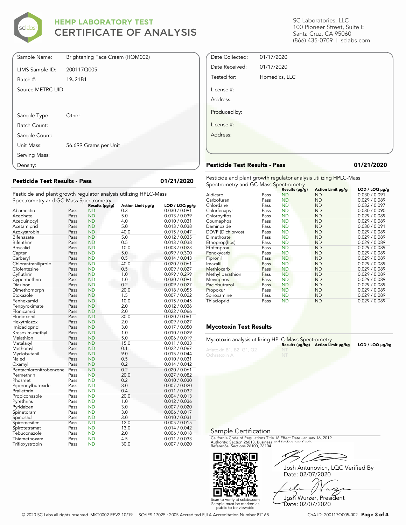

| Sample Name:      | Brightening Face Cream (HOM002) |
|-------------------|---------------------------------|
| LIMS Sample ID:   | 200117Q005                      |
| Batch #:          | 19J21B1                         |
| Source METRC UID: |                                 |
|                   |                                 |
|                   |                                 |
| Sample Type:      | Other                           |
| Batch Count:      |                                 |
| Sample Count:     |                                 |
| Unit Mass:        | 56.699 Grams per Unit           |
| Serving Mass:     |                                 |
| Density:          |                                 |

**Pesticide Test Results - Pass 01/21/2020**

Pesticide and plant growth regulator analysis utilizing HPLC-Mass Spectrometry and GC-Mass Spectrometry

| spectrometry and OC-Mass spectrometry |      |                |                   |                     |
|---------------------------------------|------|----------------|-------------------|---------------------|
|                                       |      | Results (µg/g) | Action Limit µg/g | $LOD / LOQ \mu g/g$ |
| Abamectin                             | Pass | <b>ND</b>      | 0.3               | 0.030 / 0.091       |
| Acephate                              | Pass | <b>ND</b>      | 5.0               | 0.013 / 0.039       |
| Acequinocyl                           | Pass | <b>ND</b>      | 4.0               | 0.010 / 0.031       |
| Acetamiprid                           | Pass | <b>ND</b>      | 5.0               | 0.013 / 0.038       |
| Azoxystrobin                          | Pass | <b>ND</b>      | 40.0              | 0.015 / 0.047       |
| Bifenazate                            | Pass | <b>ND</b>      | 5.0               | 0.012 / 0.035       |
| Bifenthrin                            | Pass | <b>ND</b>      | 0.5               | 0.013 / 0.038       |
| <b>Boscalid</b>                       | Pass | <b>ND</b>      | 10.0              | 0.008 / 0.023       |
| Captan                                | Pass | <b>ND</b>      | 5.0               | 0.099 / 0.300       |
| Carbaryl                              | Pass | <b>ND</b>      | 0.5               | 0.014 / 0.043       |
| Chlorantraniliprole                   | Pass | <b>ND</b>      | 40.0              | 0.020 / 0.061       |
| Clofentezine                          | Pass | <b>ND</b>      | 0.5               | 0.009 / 0.027       |
| Cyfluthrin                            | Pass | <b>ND</b>      | 1.0               | 0.099 / 0.299       |
| Cypermethrin                          | Pass | <b>ND</b>      | 1.0               | 0.030 / 0.091       |
| Diazinon                              | Pass | <b>ND</b>      | 0.2               | 0.009 / 0.027       |
| Dimethomorph                          | Pass | <b>ND</b>      | 20.0              | 0.018 / 0.055       |
| Etoxazole                             | Pass | <b>ND</b>      | 1.5               | 0.007 / 0.022       |
| Fenhexamid                            | Pass | <b>ND</b>      | 10.0              | 0.015 / 0.045       |
| Fenpyroximate                         | Pass | <b>ND</b>      | 2.0               | 0.012 / 0.036       |
| Flonicamid                            | Pass | <b>ND</b>      | 2.0               | 0.022 / 0.066       |
| Fludioxonil                           | Pass | <b>ND</b>      | 30.0              | 0.020 / 0.061       |
| Hexythiazox                           | Pass | <b>ND</b>      | 2.0               | 0.009 / 0.027       |
| Imidacloprid                          | Pass | <b>ND</b>      | 3.0               | 0.017 / 0.050       |
| Kresoxim-methyl                       | Pass | <b>ND</b>      | 1.0               | 0.010 / 0.029       |
| Malathion                             | Pass | <b>ND</b>      | 5.0               | 0.006 / 0.019       |
| Metalaxyl                             | Pass | <b>ND</b>      | 15.0              | 0.011 / 0.033       |
| Methomyl                              | Pass | <b>ND</b>      | 0.1               | 0.022 / 0.067       |
| Myclobutanil                          | Pass | <b>ND</b>      | 9.0               | 0.015 / 0.044       |
| Naled                                 | Pass | <b>ND</b>      | 0.5               | 0.010 / 0.031       |
| Oxamyl                                | Pass | <b>ND</b>      | 0.2               | 0.014 / 0.042       |
| Pentachloronitrobenzene               | Pass | <b>ND</b>      | 0.2               | 0.020 / 0.061       |
| Permethrin                            | Pass | <b>ND</b>      | 20.0              | 0.027 / 0.082       |
| Phosmet                               | Pass | <b>ND</b>      | 0.2               | 0.010 / 0.030       |
| Piperonylbutoxide                     | Pass | <b>ND</b>      | 8.0               | 0.007 / 0.020       |
| Prallethrin                           | Pass | <b>ND</b>      | 0.4               | 0.011 / 0.032       |
| Propiconazole                         | Pass | <b>ND</b>      | 20.0              | 0.004 / 0.013       |
| Pyrethrins                            | Pass | <b>ND</b>      | 1.0               | 0.012 / 0.036       |
| Pyridaben                             | Pass | <b>ND</b>      | 3.0               | 0.007 / 0.020       |
| Spinetoram                            | Pass | <b>ND</b>      | 3.0               | 0.006 / 0.017       |
| Spinosad                              | Pass | <b>ND</b>      | 3.0               | 0.010 / 0.031       |
| Spiromesifen                          | Pass | <b>ND</b>      | 12.0              | 0.005 / 0.015       |
| Spirotetramat                         | Pass | <b>ND</b>      | 13.0              | 0.014 / 0.042       |
| Tebuconazole                          | Pass | <b>ND</b>      | 2.0               | 0.006 / 0.018       |
| Thiamethoxam                          | Pass | <b>ND</b>      | 4.5               | 0.011 / 0.033       |
| Trifloxystrobin                       | Pass | <b>ND</b>      | 30.0              | 0.007 / 0.020       |

SC Laboratories, LLC 100 Pioneer Street, Suite E Santa Cruz, CA 95060 (866) 435-0709 | sclabs.com

| 01/17/2020    |  |
|---------------|--|
| Homedics, LLC |  |
|               |  |
|               |  |
|               |  |
|               |  |
|               |  |
|               |  |
|               |  |

#### **Pesticide Test Results - Pass 01/21/2020**

Pesticide and plant growth regulator analysis utilizing HPLC-Mass Spectrometry and GC-Mass Spectrometry

|                   | - 1- | Results (µg/g) | Action Limit µg/g | LOD / LOQ µq/q |
|-------------------|------|----------------|-------------------|----------------|
| Aldicarb          | Pass | <b>ND</b>      | <b>ND</b>         | 0.030 / 0.091  |
| Carbofuran        | Pass | <b>ND</b>      | <b>ND</b>         | 0.029 / 0.089  |
| Chlordane         | Pass | <b>ND</b>      | <b>ND</b>         | 0.032 / 0.097  |
| Chlorfenapyr      | Pass | <b>ND</b>      | <b>ND</b>         | 0.030 / 0.090  |
| Chlorpyrifos      | Pass | <b>ND</b>      | <b>ND</b>         | 0.029 / 0.089  |
| Coumaphos         | Pass | <b>ND</b>      | <b>ND</b>         | 0.029 / 0.089  |
| Daminozide        | Pass | <b>ND</b>      | <b>ND</b>         | 0.030 / 0.091  |
| DDVP (Dichlorvos) | Pass | <b>ND</b>      | <b>ND</b>         | 0.029 / 0.089  |
| Dimethoate        | Pass | <b>ND</b>      | <b>ND</b>         | 0.029 / 0.089  |
| Ethoprop(hos)     | Pass | <b>ND</b>      | <b>ND</b>         | 0.029 / 0.089  |
| Etofenprox        | Pass | <b>ND</b>      | <b>ND</b>         | 0.029/0.089    |
| Fenoxycarb        | Pass | <b>ND</b>      | <b>ND</b>         | 0.029 / 0.089  |
| Fipronil          | Pass | <b>ND</b>      | <b>ND</b>         | 0.029 / 0.089  |
| Imazalil          | Pass | <b>ND</b>      | <b>ND</b>         | 0.029 / 0.089  |
| Methiocarb        | Pass | <b>ND</b>      | <b>ND</b>         | 0.029 / 0.089  |
| Methyl parathion  | Pass | <b>ND</b>      | <b>ND</b>         | 0.029 / 0.089  |
| Mevinphos         | Pass | <b>ND</b>      | <b>ND</b>         | 0.029 / 0.089  |
| Paclobutrazol     | Pass | <b>ND</b>      | <b>ND</b>         | 0.029 / 0.089  |
| Propoxur          | Pass | <b>ND</b>      | <b>ND</b>         | 0.029 / 0.089  |
| Spiroxamine       | Pass | <b>ND</b>      | <b>ND</b>         | 0.029 / 0.089  |
| Thiacloprid       | Pass | <b>ND</b>      | <b>ND</b>         | 0.029 / 0.089  |

#### **Mycotoxin Test Results**

| Mycotoxin analysis utilizing HPLC-Mass Spectrometry |                                    |                 |
|-----------------------------------------------------|------------------------------------|-----------------|
|                                                     | Results (µq/kq) Action Limit µq/kq | LOD / LOQ µq/kq |
| Aflatoxin B1, B2, G1, G2                            |                                    |                 |
| Ochratoxin A                                        |                                    |                 |

Sample Certification

California Code of Regulations Title 16 Effect Date January 16, 2019<br>Authority: Section 26013, Business and Professions Code.<br>Reference: Sections 26100, 26104



Josh Antunovich, LQC Verified By Date: 02/07/2020

Josh Wurzer, President Date: 02/07/2020

Scan to verify at sclabs.com Sample must be marked as public to be viewable

© 2020 SC Labs all rights reserved. MKT0002 REV2 10/19 ISO/IES 17025 : 2005 Accredited PJLA Accreditation Number 87168 CoA ID: 200117Q005-002 **Page 3 of 4**